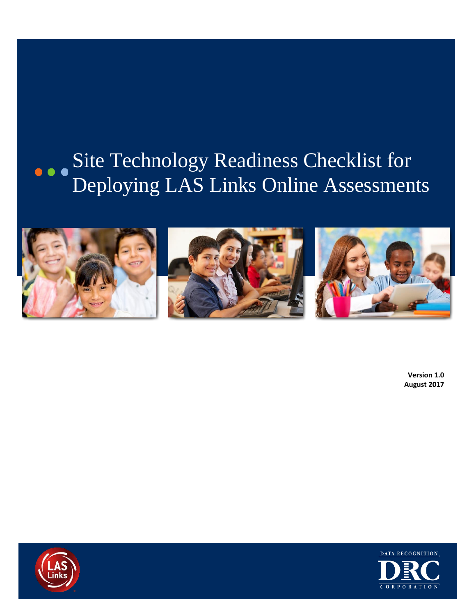# Site Technology Readiness Checklist for Deploying LAS Links Online Assessments



**Version 1.0 August 2017**



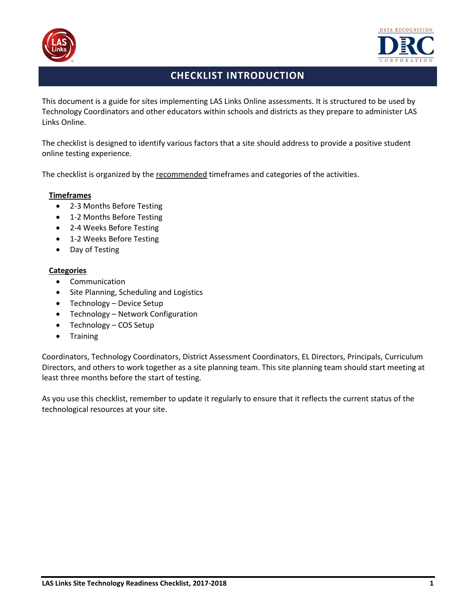



## **CHECKLIST INTRODUCTION**

This document is a guide for sites implementing LAS Links Online assessments. It is structured to be used by Technology Coordinators and other educators within schools and districts as they prepare to administer LAS Links Online.

The checklist is designed to identify various factors that a site should address to provide a positive student online testing experience.

The checklist is organized by the recommended timeframes and categories of the activities.

#### **Timeframes**

- 2-3 Months Before Testing
- 1-2 Months Before Testing
- 2-4 Weeks Before Testing
- 1-2 Weeks Before Testing
- Day of Testing

#### **Categories**

- Communication
- Site Planning, Scheduling and Logistics
- Technology Device Setup
- Technology Network Configuration
- Technology COS Setup
- Training

Coordinators, Technology Coordinators, District Assessment Coordinators, EL Directors, Principals, Curriculum Directors, and others to work together as a site planning team. This site planning team should start meeting at least three months before the start of testing.

As you use this checklist, remember to update it regularly to ensure that it reflects the current status of the technological resources at your site.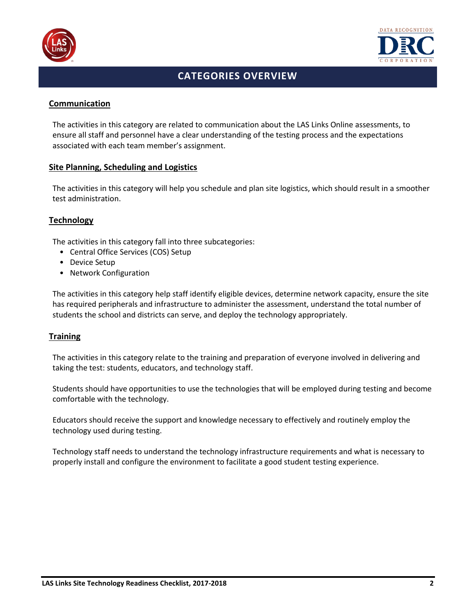



# **CATEGORIES OVERVIEW**

#### **Communication**

The activities in this category are related to communication about the LAS Links Online assessments, to ensure all staff and personnel have a clear understanding of the testing process and the expectations associated with each team member's assignment.

#### **Site Planning, Scheduling and Logistics**

The activities in this category will help you schedule and plan site logistics, which should result in a smoother test administration.

#### **Technology**

The activities in this category fall into three subcategories:

- Central Office Services (COS) Setup
- Device Setup
- Network Configuration

The activities in this category help staff identify eligible devices, determine network capacity, ensure the site has required peripherals and infrastructure to administer the assessment, understand the total number of students the school and districts can serve, and deploy the technology appropriately.

#### **Training**

The activities in this category relate to the training and preparation of everyone involved in delivering and taking the test: students, educators, and technology staff.

Students should have opportunities to use the technologies that will be employed during testing and become comfortable with the technology.

Educators should receive the support and knowledge necessary to effectively and routinely employ the technology used during testing.

Technology staff needs to understand the technology infrastructure requirements and what is necessary to properly install and configure the environment to facilitate a good student testing experience.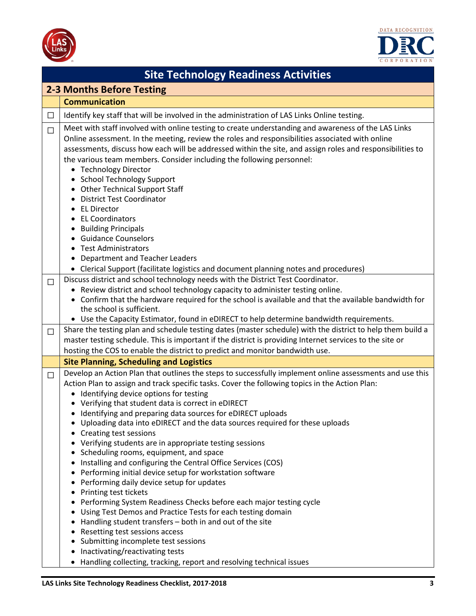



|                                  | <b>Site Technology Readiness Activities</b>                                                                                                                                                                                                                                                                 |  |  |  |
|----------------------------------|-------------------------------------------------------------------------------------------------------------------------------------------------------------------------------------------------------------------------------------------------------------------------------------------------------------|--|--|--|
| <b>2-3 Months Before Testing</b> |                                                                                                                                                                                                                                                                                                             |  |  |  |
|                                  | <b>Communication</b>                                                                                                                                                                                                                                                                                        |  |  |  |
| $\Box$                           | Identify key staff that will be involved in the administration of LAS Links Online testing.                                                                                                                                                                                                                 |  |  |  |
|                                  |                                                                                                                                                                                                                                                                                                             |  |  |  |
| $\Box$                           | Meet with staff involved with online testing to create understanding and awareness of the LAS Links                                                                                                                                                                                                         |  |  |  |
|                                  | Online assessment. In the meeting, review the roles and responsibilities associated with online<br>assessments, discuss how each will be addressed within the site, and assign roles and responsibilities to                                                                                                |  |  |  |
|                                  | the various team members. Consider including the following personnel:                                                                                                                                                                                                                                       |  |  |  |
|                                  | • Technology Director                                                                                                                                                                                                                                                                                       |  |  |  |
|                                  | <b>School Technology Support</b>                                                                                                                                                                                                                                                                            |  |  |  |
|                                  | • Other Technical Support Staff                                                                                                                                                                                                                                                                             |  |  |  |
|                                  | <b>District Test Coordinator</b>                                                                                                                                                                                                                                                                            |  |  |  |
|                                  | <b>EL Director</b>                                                                                                                                                                                                                                                                                          |  |  |  |
|                                  | <b>EL Coordinators</b>                                                                                                                                                                                                                                                                                      |  |  |  |
|                                  | <b>Building Principals</b>                                                                                                                                                                                                                                                                                  |  |  |  |
|                                  | • Guidance Counselors                                                                                                                                                                                                                                                                                       |  |  |  |
|                                  | <b>Test Administrators</b>                                                                                                                                                                                                                                                                                  |  |  |  |
|                                  | <b>Department and Teacher Leaders</b>                                                                                                                                                                                                                                                                       |  |  |  |
|                                  | • Clerical Support (facilitate logistics and document planning notes and procedures)                                                                                                                                                                                                                        |  |  |  |
| $\Box$                           | Discuss district and school technology needs with the District Test Coordinator.<br>• Review district and school technology capacity to administer testing online.                                                                                                                                          |  |  |  |
|                                  | Confirm that the hardware required for the school is available and that the available bandwidth for<br>$\bullet$                                                                                                                                                                                            |  |  |  |
|                                  | the school is sufficient.                                                                                                                                                                                                                                                                                   |  |  |  |
|                                  | • Use the Capacity Estimator, found in eDIRECT to help determine bandwidth requirements.                                                                                                                                                                                                                    |  |  |  |
| $\Box$                           | Share the testing plan and schedule testing dates (master schedule) with the district to help them build a                                                                                                                                                                                                  |  |  |  |
|                                  | master testing schedule. This is important if the district is providing Internet services to the site or                                                                                                                                                                                                    |  |  |  |
|                                  | hosting the COS to enable the district to predict and monitor bandwidth use.                                                                                                                                                                                                                                |  |  |  |
|                                  | <b>Site Planning, Scheduling and Logistics</b>                                                                                                                                                                                                                                                              |  |  |  |
| $\Box$                           | Develop an Action Plan that outlines the steps to successfully implement online assessments and use this                                                                                                                                                                                                    |  |  |  |
|                                  | Action Plan to assign and track specific tasks. Cover the following topics in the Action Plan:                                                                                                                                                                                                              |  |  |  |
|                                  | • Identifying device options for testing                                                                                                                                                                                                                                                                    |  |  |  |
|                                  | • Verifying that student data is correct in eDIRECT                                                                                                                                                                                                                                                         |  |  |  |
|                                  | • Identifying and preparing data sources for eDIRECT uploads                                                                                                                                                                                                                                                |  |  |  |
|                                  | Uploading data into eDIRECT and the data sources required for these uploads                                                                                                                                                                                                                                 |  |  |  |
|                                  | Creating test sessions<br>Verifying students are in appropriate testing sessions                                                                                                                                                                                                                            |  |  |  |
|                                  | Scheduling rooms, equipment, and space                                                                                                                                                                                                                                                                      |  |  |  |
|                                  | Installing and configuring the Central Office Services (COS)                                                                                                                                                                                                                                                |  |  |  |
|                                  | Performing initial device setup for workstation software<br>٠                                                                                                                                                                                                                                               |  |  |  |
|                                  | Performing daily device setup for updates                                                                                                                                                                                                                                                                   |  |  |  |
|                                  | • Printing test tickets                                                                                                                                                                                                                                                                                     |  |  |  |
|                                  | Performing System Readiness Checks before each major testing cycle                                                                                                                                                                                                                                          |  |  |  |
|                                  |                                                                                                                                                                                                                                                                                                             |  |  |  |
|                                  |                                                                                                                                                                                                                                                                                                             |  |  |  |
|                                  |                                                                                                                                                                                                                                                                                                             |  |  |  |
|                                  |                                                                                                                                                                                                                                                                                                             |  |  |  |
|                                  |                                                                                                                                                                                                                                                                                                             |  |  |  |
|                                  | Using Test Demos and Practice Tests for each testing domain<br>Handling student transfers - both in and out of the site<br>Resetting test sessions access<br>Submitting incomplete test sessions<br>Inactivating/reactivating tests<br>Handling collecting, tracking, report and resolving technical issues |  |  |  |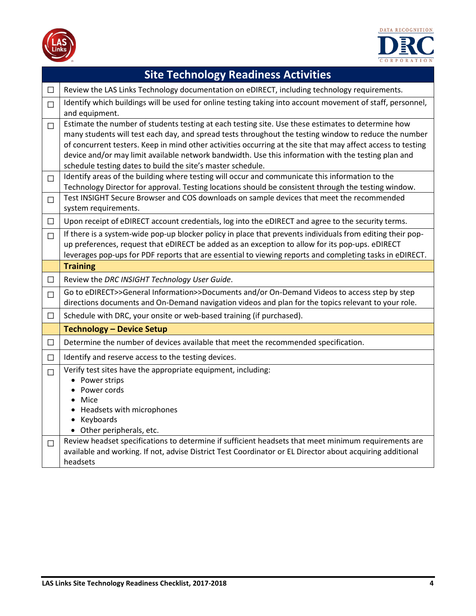



|                       | <b>Site Technology Readiness Activities</b>                                                                                                                                                                                                                                                                                                                                                                                                                                                                                                                                                                                                                                                                                                                                                                                       |
|-----------------------|-----------------------------------------------------------------------------------------------------------------------------------------------------------------------------------------------------------------------------------------------------------------------------------------------------------------------------------------------------------------------------------------------------------------------------------------------------------------------------------------------------------------------------------------------------------------------------------------------------------------------------------------------------------------------------------------------------------------------------------------------------------------------------------------------------------------------------------|
| □                     | Review the LAS Links Technology documentation on eDIRECT, including technology requirements.                                                                                                                                                                                                                                                                                                                                                                                                                                                                                                                                                                                                                                                                                                                                      |
| $\Box$                | Identify which buildings will be used for online testing taking into account movement of staff, personnel,<br>and equipment.                                                                                                                                                                                                                                                                                                                                                                                                                                                                                                                                                                                                                                                                                                      |
| $\Box$<br>П<br>$\Box$ | Estimate the number of students testing at each testing site. Use these estimates to determine how<br>many students will test each day, and spread tests throughout the testing window to reduce the number<br>of concurrent testers. Keep in mind other activities occurring at the site that may affect access to testing<br>device and/or may limit available network bandwidth. Use this information with the testing plan and<br>schedule testing dates to build the site's master schedule.<br>Identify areas of the building where testing will occur and communicate this information to the<br>Technology Director for approval. Testing locations should be consistent through the testing window.<br>Test INSIGHT Secure Browser and COS downloads on sample devices that meet the recommended<br>system requirements. |
| $\Box$                | Upon receipt of eDIRECT account credentials, log into the eDIRECT and agree to the security terms.                                                                                                                                                                                                                                                                                                                                                                                                                                                                                                                                                                                                                                                                                                                                |
| $\Box$                | If there is a system-wide pop-up blocker policy in place that prevents individuals from editing their pop-<br>up preferences, request that eDIRECT be added as an exception to allow for its pop-ups. eDIRECT<br>leverages pop-ups for PDF reports that are essential to viewing reports and completing tasks in eDIRECT.                                                                                                                                                                                                                                                                                                                                                                                                                                                                                                         |
|                       | <b>Training</b>                                                                                                                                                                                                                                                                                                                                                                                                                                                                                                                                                                                                                                                                                                                                                                                                                   |
| $\Box$                | Review the DRC INSIGHT Technology User Guide.                                                                                                                                                                                                                                                                                                                                                                                                                                                                                                                                                                                                                                                                                                                                                                                     |
| П                     | Go to eDIRECT>>General Information>>Documents and/or On-Demand Videos to access step by step<br>directions documents and On-Demand navigation videos and plan for the topics relevant to your role.                                                                                                                                                                                                                                                                                                                                                                                                                                                                                                                                                                                                                               |
| $\Box$                | Schedule with DRC, your onsite or web-based training (if purchased).                                                                                                                                                                                                                                                                                                                                                                                                                                                                                                                                                                                                                                                                                                                                                              |
|                       | <b>Technology - Device Setup</b>                                                                                                                                                                                                                                                                                                                                                                                                                                                                                                                                                                                                                                                                                                                                                                                                  |
| □                     | Determine the number of devices available that meet the recommended specification.                                                                                                                                                                                                                                                                                                                                                                                                                                                                                                                                                                                                                                                                                                                                                |
| $\Box$                | Identify and reserve access to the testing devices.                                                                                                                                                                                                                                                                                                                                                                                                                                                                                                                                                                                                                                                                                                                                                                               |
| П                     | Verify test sites have the appropriate equipment, including:<br>• Power strips<br>Power cords<br>Mice<br>$\bullet$<br>Headsets with microphones<br>Keyboards<br>$\bullet$<br>• Other peripherals, etc.                                                                                                                                                                                                                                                                                                                                                                                                                                                                                                                                                                                                                            |
| □                     | Review headset specifications to determine if sufficient headsets that meet minimum requirements are<br>available and working. If not, advise District Test Coordinator or EL Director about acquiring additional<br>headsets                                                                                                                                                                                                                                                                                                                                                                                                                                                                                                                                                                                                     |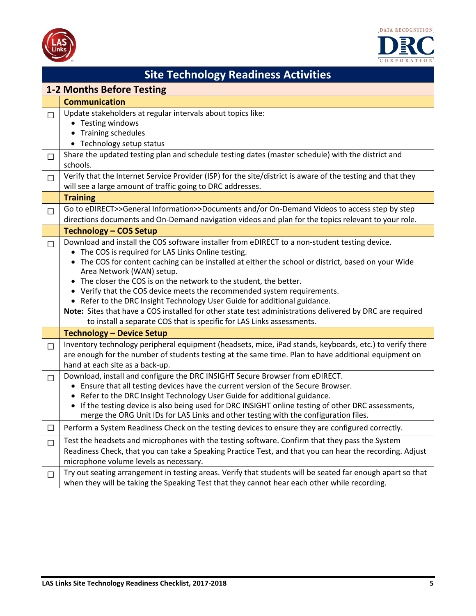



| <b>Site Technology Readiness Activities</b> |                                                                                                                                                                                                                                                                                                                                                                                                                                                                                                                                                                                                                                                                                                       |  |
|---------------------------------------------|-------------------------------------------------------------------------------------------------------------------------------------------------------------------------------------------------------------------------------------------------------------------------------------------------------------------------------------------------------------------------------------------------------------------------------------------------------------------------------------------------------------------------------------------------------------------------------------------------------------------------------------------------------------------------------------------------------|--|
| <b>1-2 Months Before Testing</b>            |                                                                                                                                                                                                                                                                                                                                                                                                                                                                                                                                                                                                                                                                                                       |  |
|                                             | <b>Communication</b>                                                                                                                                                                                                                                                                                                                                                                                                                                                                                                                                                                                                                                                                                  |  |
| $\Box$                                      | Update stakeholders at regular intervals about topics like:<br>• Testing windows<br>• Training schedules<br>• Technology setup status                                                                                                                                                                                                                                                                                                                                                                                                                                                                                                                                                                 |  |
| $\Box$                                      | Share the updated testing plan and schedule testing dates (master schedule) with the district and<br>schools.                                                                                                                                                                                                                                                                                                                                                                                                                                                                                                                                                                                         |  |
| $\Box$                                      | Verify that the Internet Service Provider (ISP) for the site/district is aware of the testing and that they<br>will see a large amount of traffic going to DRC addresses.                                                                                                                                                                                                                                                                                                                                                                                                                                                                                                                             |  |
|                                             | <b>Training</b>                                                                                                                                                                                                                                                                                                                                                                                                                                                                                                                                                                                                                                                                                       |  |
| П                                           | Go to eDIRECT>>General Information>>Documents and/or On-Demand Videos to access step by step<br>directions documents and On-Demand navigation videos and plan for the topics relevant to your role.                                                                                                                                                                                                                                                                                                                                                                                                                                                                                                   |  |
|                                             | <b>Technology - COS Setup</b>                                                                                                                                                                                                                                                                                                                                                                                                                                                                                                                                                                                                                                                                         |  |
| $\Box$                                      | Download and install the COS software installer from eDIRECT to a non-student testing device.<br>• The COS is required for LAS Links Online testing.<br>The COS for content caching can be installed at either the school or district, based on your Wide<br>Area Network (WAN) setup.<br>The closer the COS is on the network to the student, the better.<br>Verify that the COS device meets the recommended system requirements.<br>• Refer to the DRC Insight Technology User Guide for additional guidance.<br>Note: Sites that have a COS installed for other state test administrations delivered by DRC are required<br>to install a separate COS that is specific for LAS Links assessments. |  |
|                                             | <b>Technology - Device Setup</b>                                                                                                                                                                                                                                                                                                                                                                                                                                                                                                                                                                                                                                                                      |  |
| $\Box$                                      | Inventory technology peripheral equipment (headsets, mice, iPad stands, keyboards, etc.) to verify there<br>are enough for the number of students testing at the same time. Plan to have additional equipment on<br>hand at each site as a back-up.                                                                                                                                                                                                                                                                                                                                                                                                                                                   |  |
| $\Box$                                      | Download, install and configure the DRC INSIGHT Secure Browser from eDIRECT.<br>• Ensure that all testing devices have the current version of the Secure Browser.<br>Refer to the DRC Insight Technology User Guide for additional guidance.<br>• If the testing device is also being used for DRC INSIGHT online testing of other DRC assessments,<br>merge the ORG Unit IDs for LAS Links and other testing with the configuration files.                                                                                                                                                                                                                                                           |  |
| $\Box$                                      | Perform a System Readiness Check on the testing devices to ensure they are configured correctly.                                                                                                                                                                                                                                                                                                                                                                                                                                                                                                                                                                                                      |  |
| $\Box$                                      | Test the headsets and microphones with the testing software. Confirm that they pass the System<br>Readiness Check, that you can take a Speaking Practice Test, and that you can hear the recording. Adjust<br>microphone volume levels as necessary.                                                                                                                                                                                                                                                                                                                                                                                                                                                  |  |
| $\Box$                                      | Try out seating arrangement in testing areas. Verify that students will be seated far enough apart so that<br>when they will be taking the Speaking Test that they cannot hear each other while recording.                                                                                                                                                                                                                                                                                                                                                                                                                                                                                            |  |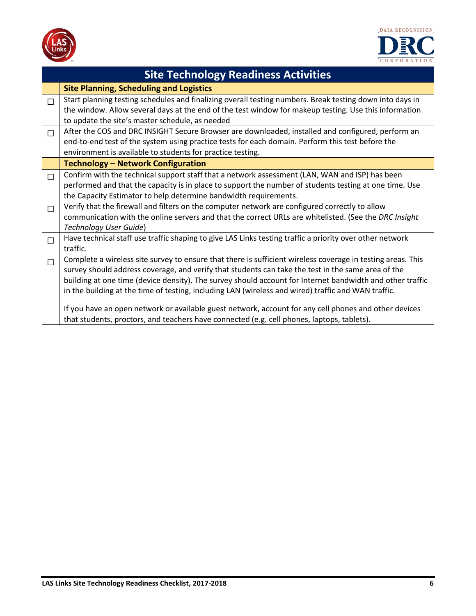



| <b>Site Technology Readiness Activities</b> |                                                                                                                                                                                                                                                                                                                                                                                                                                                                                                                                                                                                                                              |  |
|---------------------------------------------|----------------------------------------------------------------------------------------------------------------------------------------------------------------------------------------------------------------------------------------------------------------------------------------------------------------------------------------------------------------------------------------------------------------------------------------------------------------------------------------------------------------------------------------------------------------------------------------------------------------------------------------------|--|
|                                             | <b>Site Planning, Scheduling and Logistics</b>                                                                                                                                                                                                                                                                                                                                                                                                                                                                                                                                                                                               |  |
| П                                           | Start planning testing schedules and finalizing overall testing numbers. Break testing down into days in<br>the window. Allow several days at the end of the test window for makeup testing. Use this information<br>to update the site's master schedule, as needed                                                                                                                                                                                                                                                                                                                                                                         |  |
| П                                           | After the COS and DRC INSIGHT Secure Browser are downloaded, installed and configured, perform an<br>end-to-end test of the system using practice tests for each domain. Perform this test before the<br>environment is available to students for practice testing.                                                                                                                                                                                                                                                                                                                                                                          |  |
|                                             | <b>Technology - Network Configuration</b>                                                                                                                                                                                                                                                                                                                                                                                                                                                                                                                                                                                                    |  |
| $\Box$                                      | Confirm with the technical support staff that a network assessment (LAN, WAN and ISP) has been<br>performed and that the capacity is in place to support the number of students testing at one time. Use<br>the Capacity Estimator to help determine bandwidth requirements.                                                                                                                                                                                                                                                                                                                                                                 |  |
| П                                           | Verify that the firewall and filters on the computer network are configured correctly to allow<br>communication with the online servers and that the correct URLs are whitelisted. (See the DRC Insight<br>Technology User Guide)                                                                                                                                                                                                                                                                                                                                                                                                            |  |
| $\Box$                                      | Have technical staff use traffic shaping to give LAS Links testing traffic a priority over other network<br>traffic.                                                                                                                                                                                                                                                                                                                                                                                                                                                                                                                         |  |
| $\Box$                                      | Complete a wireless site survey to ensure that there is sufficient wireless coverage in testing areas. This<br>survey should address coverage, and verify that students can take the test in the same area of the<br>building at one time (device density). The survey should account for Internet bandwidth and other traffic<br>in the building at the time of testing, including LAN (wireless and wired) traffic and WAN traffic.<br>If you have an open network or available guest network, account for any cell phones and other devices<br>that students, proctors, and teachers have connected (e.g. cell phones, laptops, tablets). |  |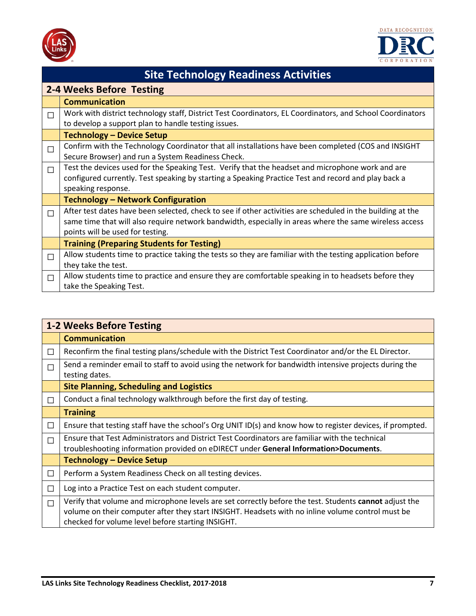



| <b>Site Technology Readiness Activities</b> |                                                                                                            |  |  |
|---------------------------------------------|------------------------------------------------------------------------------------------------------------|--|--|
|                                             | 2-4 Weeks Before Testing                                                                                   |  |  |
|                                             | <b>Communication</b>                                                                                       |  |  |
| П                                           | Work with district technology staff, District Test Coordinators, EL Coordinators, and School Coordinators  |  |  |
|                                             | to develop a support plan to handle testing issues.                                                        |  |  |
|                                             | <b>Technology - Device Setup</b>                                                                           |  |  |
| П                                           | Confirm with the Technology Coordinator that all installations have been completed (COS and INSIGHT        |  |  |
|                                             | Secure Browser) and run a System Readiness Check.                                                          |  |  |
| $\Box$                                      | Test the devices used for the Speaking Test. Verify that the headset and microphone work and are           |  |  |
|                                             | configured currently. Test speaking by starting a Speaking Practice Test and record and play back a        |  |  |
|                                             | speaking response.                                                                                         |  |  |
|                                             | <b>Technology - Network Configuration</b>                                                                  |  |  |
| $\Box$                                      | After test dates have been selected, check to see if other activities are scheduled in the building at the |  |  |
|                                             | same time that will also require network bandwidth, especially in areas where the same wireless access     |  |  |
|                                             | points will be used for testing.                                                                           |  |  |
|                                             | <b>Training (Preparing Students for Testing)</b>                                                           |  |  |
| $\Box$                                      | Allow students time to practice taking the tests so they are familiar with the testing application before  |  |  |
|                                             | they take the test.                                                                                        |  |  |
| П                                           | Allow students time to practice and ensure they are comfortable speaking in to headsets before they        |  |  |
|                                             | take the Speaking Test.                                                                                    |  |  |

|              | <b>1-2 Weeks Before Testing</b>                                                                                                                                                                                                                                  |  |  |
|--------------|------------------------------------------------------------------------------------------------------------------------------------------------------------------------------------------------------------------------------------------------------------------|--|--|
|              | <b>Communication</b>                                                                                                                                                                                                                                             |  |  |
| $\Box$       | Reconfirm the final testing plans/schedule with the District Test Coordinator and/or the EL Director.                                                                                                                                                            |  |  |
| П            | Send a reminder email to staff to avoid using the network for bandwidth intensive projects during the<br>testing dates.                                                                                                                                          |  |  |
|              | <b>Site Planning, Scheduling and Logistics</b>                                                                                                                                                                                                                   |  |  |
| П            | Conduct a final technology walkthrough before the first day of testing.                                                                                                                                                                                          |  |  |
|              | <b>Training</b>                                                                                                                                                                                                                                                  |  |  |
| $\Box$       | Ensure that testing staff have the school's Org UNIT ID(s) and know how to register devices, if prompted.                                                                                                                                                        |  |  |
| П            | Ensure that Test Administrators and District Test Coordinators are familiar with the technical<br>troubleshooting information provided on eDIRECT under General Information>Documents.                                                                           |  |  |
|              | <b>Technology - Device Setup</b>                                                                                                                                                                                                                                 |  |  |
| $\mathbf{L}$ | Perform a System Readiness Check on all testing devices.                                                                                                                                                                                                         |  |  |
| П            | Log into a Practice Test on each student computer.                                                                                                                                                                                                               |  |  |
| П            | Verify that volume and microphone levels are set correctly before the test. Students cannot adjust the<br>volume on their computer after they start INSIGHT. Headsets with no inline volume control must be<br>checked for volume level before starting INSIGHT. |  |  |